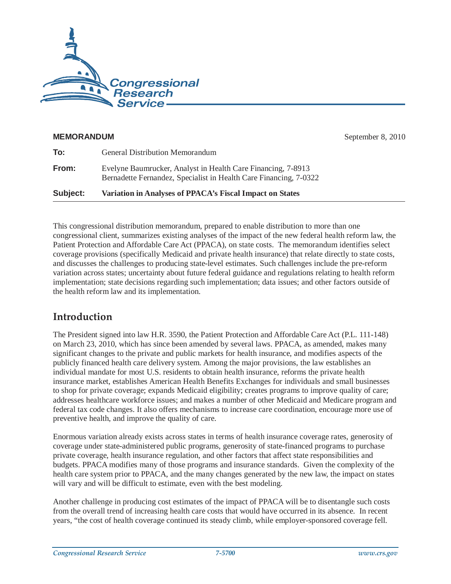

#### **MEMORANDUM** September 8, 2010

| Subject: | Variation in Analyses of PPACA's Fiscal Impact on States                                                                          |
|----------|-----------------------------------------------------------------------------------------------------------------------------------|
| From:    | Evelyne Baumrucker, Analyst in Health Care Financing, 7-8913<br>Bernadette Fernandez, Specialist in Health Care Financing, 7-0322 |
| To:      | <b>General Distribution Memorandum</b>                                                                                            |

This congressional distribution memorandum, prepared to enable distribution to more than one congressional client, summarizes existing analyses of the impact of the new federal health reform law, the Patient Protection and Affordable Care Act (PPACA), on state costs. The memorandum identifies select coverage provisions (specifically Medicaid and private health insurance) that relate directly to state costs, and discusses the challenges to producing state-level estimates. Such challenges include the pre-reform variation across states; uncertainty about future federal guidance and regulations relating to health reform implementation; state decisions regarding such implementation; data issues; and other factors outside of the health reform law and its implementation.

# **Introduction**

The President signed into law H.R. 3590, the Patient Protection and Affordable Care Act (P.L. 111-148) on March 23, 2010, which has since been amended by several laws. PPACA, as amended, makes many significant changes to the private and public markets for health insurance, and modifies aspects of the publicly financed health care delivery system. Among the major provisions, the law establishes an individual mandate for most U.S. residents to obtain health insurance, reforms the private health insurance market, establishes American Health Benefits Exchanges for individuals and small businesses to shop for private coverage; expands Medicaid eligibility; creates programs to improve quality of care; addresses healthcare workforce issues; and makes a number of other Medicaid and Medicare program and federal tax code changes. It also offers mechanisms to increase care coordination, encourage more use of preventive health, and improve the quality of care.

Enormous variation already exists across states in terms of health insurance coverage rates, generosity of coverage under state-administered public programs, generosity of state-financed programs to purchase private coverage, health insurance regulation, and other factors that affect state responsibilities and budgets. PPACA modifies many of those programs and insurance standards. Given the complexity of the health care system prior to PPACA, and the many changes generated by the new law, the impact on states will vary and will be difficult to estimate, even with the best modeling.

Another challenge in producing cost estimates of the impact of PPACA will be to disentangle such costs from the overall trend of increasing health care costs that would have occurred in its absence. In recent years, "the cost of health coverage continued its steady climb, while employer-sponsored coverage fell.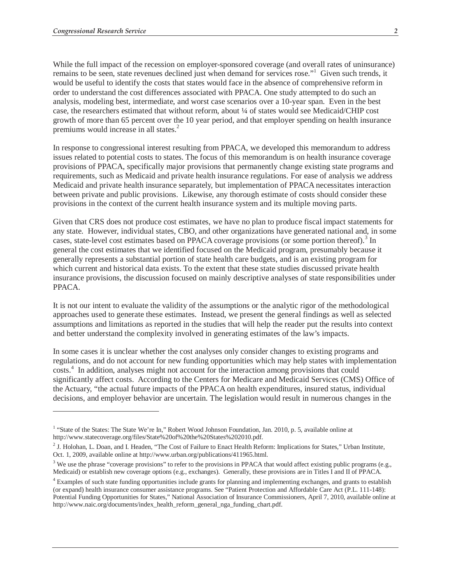-

While the full impact of the recession on employer-sponsored coverage (and overall rates of uninsurance) remains to be seen, state revenues declined just when demand for services rose."<sup>1</sup> Given such trends, it would be useful to identify the costs that states would face in the absence of comprehensive reform in order to understand the cost differences associated with PPACA. One study attempted to do such an analysis, modeling best, intermediate, and worst case scenarios over a 10-year span. Even in the best case, the researchers estimated that without reform, about ¼ of states would see Medicaid/CHIP cost growth of more than 65 percent over the 10 year period, and that employer spending on health insurance premiums would increase in all states.<sup>2</sup>

In response to congressional interest resulting from PPACA, we developed this memorandum to address issues related to potential costs to states. The focus of this memorandum is on health insurance coverage provisions of PPACA, specifically major provisions that permanently change existing state programs and requirements, such as Medicaid and private health insurance regulations. For ease of analysis we address Medicaid and private health insurance separately, but implementation of PPACA necessitates interaction between private and public provisions. Likewise, any thorough estimate of costs should consider these provisions in the context of the current health insurance system and its multiple moving parts.

Given that CRS does not produce cost estimates, we have no plan to produce fiscal impact statements for any state. However, individual states, CBO, and other organizations have generated national and, in some cases, state-level cost estimates based on PPACA coverage provisions (or some portion thereof).<sup>3</sup> In general the cost estimates that we identified focused on the Medicaid program, presumably because it generally represents a substantial portion of state health care budgets, and is an existing program for which current and historical data exists. To the extent that these state studies discussed private health insurance provisions, the discussion focused on mainly descriptive analyses of state responsibilities under PPACA.

It is not our intent to evaluate the validity of the assumptions or the analytic rigor of the methodological approaches used to generate these estimates. Instead, we present the general findings as well as selected assumptions and limitations as reported in the studies that will help the reader put the results into context and better understand the complexity involved in generating estimates of the law's impacts.

In some cases it is unclear whether the cost analyses only consider changes to existing programs and regulations, and do not account for new funding opportunities which may help states with implementation costs.<sup>4</sup> In addition, analyses might not account for the interaction among provisions that could significantly affect costs. According to the Centers for Medicare and Medicaid Services (CMS) Office of the Actuary, "the actual future impacts of the PPACA on health expenditures, insured status, individual decisions, and employer behavior are uncertain. The legislation would result in numerous changes in the

<sup>&</sup>lt;sup>1</sup> "State of the States: The State We're In," Robert Wood Johnson Foundation, Jan. 2010, p. 5, available online at http://www.statecoverage.org/files/State%20of%20the%20States%202010.pdf.

 $2$  J. Holohan, L. Doan, and I. Headen, "The Cost of Failure to Enact Health Reform: Implications for States," Urban Institute, Oct. 1, 2009, available online at http://www.urban.org/publications/411965.html.

 $3$  We use the phrase "coverage provisions" to refer to the provisions in PPACA that would affect existing public programs (e.g., Medicaid) or establish new coverage options (e.g., exchanges). Generally, these provisions are in Titles I and II of PPACA.

<sup>&</sup>lt;sup>4</sup> Examples of such state funding opportunities include grants for planning and implementing exchanges, and grants to establish (or expand) health insurance consumer assistance programs. See "Patient Protection and Affordable Care Act (P.L. 111-148): Potential Funding Opportunities for States," National Association of Insurance Commissioners, April 7, 2010, available online at http://www.naic.org/documents/index\_health\_reform\_general\_nga\_funding\_chart.pdf.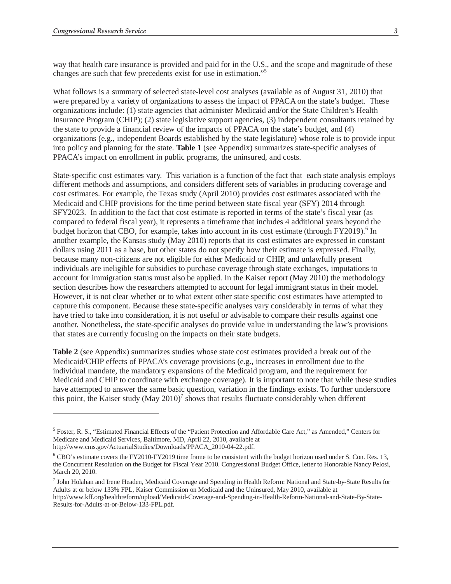way that health care insurance is provided and paid for in the U.S., and the scope and magnitude of these changes are such that few precedents exist for use in estimation."<sup>5</sup>

What follows is a summary of selected state-level cost analyses (available as of August 31, 2010) that were prepared by a variety of organizations to assess the impact of PPACA on the state's budget. These organizations include: (1) state agencies that administer Medicaid and/or the State Children's Health Insurance Program (CHIP); (2) state legislative support agencies, (3) independent consultants retained by the state to provide a financial review of the impacts of PPACA on the state's budget, and (4) organizations (e.g., independent Boards established by the state legislature) whose role is to provide input into policy and planning for the state. **Table 1** (see Appendix) summarizes state-specific analyses of PPACA's impact on enrollment in public programs, the uninsured, and costs.

State-specific cost estimates vary. This variation is a function of the fact that each state analysis employs different methods and assumptions, and considers different sets of variables in producing coverage and cost estimates. For example, the Texas study (April 2010) provides cost estimates associated with the Medicaid and CHIP provisions for the time period between state fiscal year (SFY) 2014 through SFY2023. In addition to the fact that cost estimate is reported in terms of the state's fiscal year (as compared to federal fiscal year), it represents a timeframe that includes 4 additional years beyond the budget horizon that CBO, for example, takes into account in its cost estimate (through FY2019).<sup>6</sup> In another example, the Kansas study (May 2010) reports that its cost estimates are expressed in constant dollars using 2011 as a base, but other states do not specify how their estimate is expressed. Finally, because many non-citizens are not eligible for either Medicaid or CHIP, and unlawfully present individuals are ineligible for subsidies to purchase coverage through state exchanges, imputations to account for immigration status must also be applied. In the Kaiser report (May 2010) the methodology section describes how the researchers attempted to account for legal immigrant status in their model. However, it is not clear whether or to what extent other state specific cost estimates have attempted to capture this component. Because these state-specific analyses vary considerably in terms of what they have tried to take into consideration, it is not useful or advisable to compare their results against one another. Nonetheless, the state-specific analyses do provide value in understanding the law's provisions that states are currently focusing on the impacts on their state budgets.

**Table 2** (see Appendix) summarizes studies whose state cost estimates provided a break out of the Medicaid/CHIP effects of PPACA's coverage provisions (e.g., increases in enrollment due to the individual mandate, the mandatory expansions of the Medicaid program, and the requirement for Medicaid and CHIP to coordinate with exchange coverage). It is important to note that while these studies have attempted to answer the same basic question, variation in the findings exists. To further underscore this point, the Kaiser study  $(May 2010)^7$  shows that results fluctuate considerably when different

-

<sup>&</sup>lt;sup>5</sup> Foster, R. S., "Estimated Financial Effects of the "Patient Protection and Affordable Care Act," as Amended," Centers for Medicare and Medicaid Services, Baltimore, MD, April 22, 2010, available at

http://www.cms.gov/ActuarialStudies/Downloads/PPACA\_2010-04-22.pdf.

<sup>6</sup> CBO's estimate covers the FY2010-FY2019 time frame to be consistent with the budget horizon used under S. Con. Res. 13, the Concurrent Resolution on the Budget for Fiscal Year 2010. Congressional Budget Office, letter to Honorable Nancy Pelosi, March 20, 2010.

 $^7$  John Holahan and Irene Headen, Medicaid Coverage and Spending in Health Reform: National and State-by-State Results for Adults at or below 133% FPL, Kaiser Commission on Medicaid and the Uninsured, May 2010, available at http://www.kff.org/healthreform/upload/Medicaid-Coverage-and-Spending-in-Health-Reform-National-and-State-By-State-Results-for-Adults-at-or-Below-133-FPL.pdf.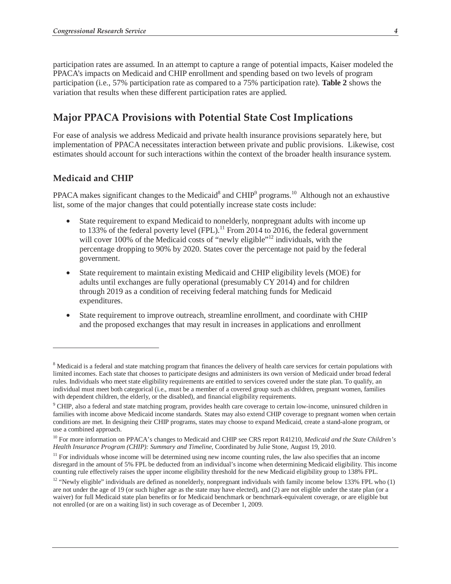participation rates are assumed. In an attempt to capture a range of potential impacts, Kaiser modeled the PPACA's impacts on Medicaid and CHIP enrollment and spending based on two levels of program participation (i.e., 57% participation rate as compared to a 75% participation rate). **Table 2** shows the variation that results when these different participation rates are applied.

# **Major PPACA Provisions with Potential State Cost Implications**

For ease of analysis we address Medicaid and private health insurance provisions separately here, but implementation of PPACA necessitates interaction between private and public provisions. Likewise, cost estimates should account for such interactions within the context of the broader health insurance system.

## **Medicaid and CHIP**

-

PPACA makes significant changes to the Medicaid<sup>8</sup> and CHIP<sup>9</sup> programs.<sup>10</sup> Although not an exhaustive list, some of the major changes that could potentially increase state costs include:

- State requirement to expand Medicaid to nonelderly, nonpregnant adults with income up to 133% of the federal poverty level (FPL).<sup>11</sup> From 2014 to 2016, the federal government will cover 100% of the Medicaid costs of "newly eligible"<sup>12</sup> individuals, with the percentage dropping to 90% by 2020. States cover the percentage not paid by the federal government.
- State requirement to maintain existing Medicaid and CHIP eligibility levels (MOE) for adults until exchanges are fully operational (presumably CY 2014) and for children through 2019 as a condition of receiving federal matching funds for Medicaid expenditures.
- State requirement to improve outreach, streamline enrollment, and coordinate with CHIP and the proposed exchanges that may result in increases in applications and enrollment

<sup>&</sup>lt;sup>8</sup> Medicaid is a federal and state matching program that finances the delivery of health care services for certain populations with limited incomes. Each state that chooses to participate designs and administers its own version of Medicaid under broad federal rules. Individuals who meet state eligibility requirements are entitled to services covered under the state plan. To qualify, an individual must meet both categorical (i.e., must be a member of a covered group such as children, pregnant women, families with dependent children, the elderly, or the disabled), and financial eligibility requirements.

<sup>&</sup>lt;sup>9</sup> CHIP, also a federal and state matching program, provides health care coverage to certain low-income, uninsured children in families with income above Medicaid income standards. States may also extend CHIP coverage to pregnant women when certain conditions are met. In designing their CHIP programs, states may choose to expand Medicaid, create a stand-alone program, or use a combined approach.

<sup>10</sup> For more information on PPACA's changes to Medicaid and CHIP see CRS report R41210, *Medicaid and the State Children's Health Insurance Program (CHIP): Summary and Timeline,* Coordinated by Julie Stone, August 19, 2010.

 $11$  For individuals whose income will be determined using new income counting rules, the law also specifies that an income disregard in the amount of 5% FPL be deducted from an individual's income when determining Medicaid eligibility. This income counting rule effectively raises the upper income eligibility threshold for the new Medicaid eligibility group to 138% FPL.

 $12$  "Newly eligible" individuals are defined as nonelderly, nonpregnant individuals with family income below 133% FPL who (1) are not under the age of 19 (or such higher age as the state may have elected), and (2) are not eligible under the state plan (or a waiver) for full Medicaid state plan benefits or for Medicaid benchmark or benchmark-equivalent coverage, or are eligible but not enrolled (or are on a waiting list) in such coverage as of December 1, 2009.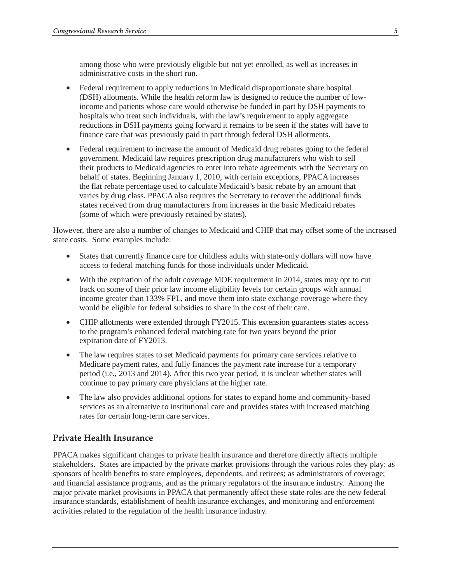among those who were previously eligible but not yet enrolled, as well as increases in administrative costs in the short run.

- Federal requirement to apply reductions in Medicaid disproportionate share hospital (DSH) allotments. While the health reform law is designed to reduce the number of lowincome and patients whose care would otherwise be funded in part by DSH payments to hospitals who treat such individuals, with the law's requirement to apply aggregate reductions in DSH payments going forward it remains to be seen if the states will have to finance care that was previously paid in part through federal DSH allotments.
- Federal requirement to increase the amount of Medicaid drug rebates going to the federal government. Medicaid law requires prescription drug manufacturers who wish to sell their products to Medicaid agencies to enter into rebate agreements with the Secretary on behalf of states. Beginning January 1, 2010, with certain exceptions, PPACA increases the flat rebate percentage used to calculate Medicaid's basic rebate by an amount that varies by drug class. PPACA also requires the Secretary to recover the additional funds states received from drug manufacturers from increases in the basic Medicaid rebates (some of which were previously retained by states).

However, there are also a number of changes to Medicaid and CHIP that may offset some of the increased state costs. Some examples include:

- States that currently finance care for childless adults with state-only dollars will now have access to federal matching funds for those individuals under Medicaid.
- With the expiration of the adult coverage MOE requirement in 2014, states may opt to cut back on some of their prior law income eligibility levels for certain groups with annual income greater than 133% FPL, and move them into state exchange coverage where they would be eligible for federal subsidies to share in the cost of their care.
- CHIP allotments were extended through FY2015. This extension guarantees states access to the program's enhanced federal matching rate for two years beyond the prior expiration date of FY2013.
- The law requires states to set Medicaid payments for primary care services relative to Medicare payment rates, and fully finances the payment rate increase for a temporary period (i.e., 2013 and 2014). After this two year period, it is unclear whether states will continue to pay primary care physicians at the higher rate.
- The law also provides additional options for states to expand home and community-based services as an alternative to institutional care and provides states with increased matching rates for certain long-term care services.

## **Private Health Insurance**

PPACA makes significant changes to private health insurance and therefore directly affects multiple stakeholders. States are impacted by the private market provisions through the various roles they play: as sponsors of health benefits to state employees, dependents, and retirees; as administrators of coverage; and financial assistance programs, and as the primary regulators of the insurance industry. Among the major private market provisions in PPACA that permanently affect these state roles are the new federal insurance standards, establishment of health insurance exchanges, and monitoring and enforcement activities related to the regulation of the health insurance industry.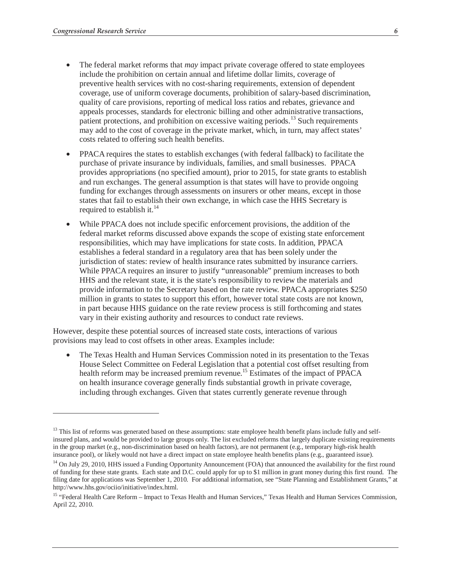-

- The federal market reforms that *may* impact private coverage offered to state employees include the prohibition on certain annual and lifetime dollar limits, coverage of preventive health services with no cost-sharing requirements, extension of dependent coverage, use of uniform coverage documents, prohibition of salary-based discrimination, quality of care provisions, reporting of medical loss ratios and rebates, grievance and appeals processes, standards for electronic billing and other administrative transactions, patient protections, and prohibition on excessive waiting periods.<sup>13</sup> Such requirements may add to the cost of coverage in the private market, which, in turn, may affect states' costs related to offering such health benefits.
- PPACA requires the states to establish exchanges (with federal fallback) to facilitate the purchase of private insurance by individuals, families, and small businesses. PPACA provides appropriations (no specified amount), prior to 2015, for state grants to establish and run exchanges. The general assumption is that states will have to provide ongoing funding for exchanges through assessments on insurers or other means, except in those states that fail to establish their own exchange, in which case the HHS Secretary is required to establish it. $^{14}$
- While PPACA does not include specific enforcement provisions, the addition of the federal market reforms discussed above expands the scope of existing state enforcement responsibilities, which may have implications for state costs. In addition, PPACA establishes a federal standard in a regulatory area that has been solely under the jurisdiction of states: review of health insurance rates submitted by insurance carriers. While PPACA requires an insurer to justify "unreasonable" premium increases to both HHS and the relevant state, it is the state's responsibility to review the materials and provide information to the Secretary based on the rate review. PPACA appropriates \$250 million in grants to states to support this effort, however total state costs are not known, in part because HHS guidance on the rate review process is still forthcoming and states vary in their existing authority and resources to conduct rate reviews.

However, despite these potential sources of increased state costs, interactions of various provisions may lead to cost offsets in other areas. Examples include:

• The Texas Health and Human Services Commission noted in its presentation to the Texas House Select Committee on Federal Legislation that a potential cost offset resulting from health reform may be increased premium revenue.<sup>15</sup> Estimates of the impact of PPACA on health insurance coverage generally finds substantial growth in private coverage, including through exchanges. Given that states currently generate revenue through

<sup>&</sup>lt;sup>13</sup> This list of reforms was generated based on these assumptions: state employee health benefit plans include fully and selfinsured plans, and would be provided to large groups only. The list excluded reforms that largely duplicate existing requirements in the group market (e.g., non-discrimination based on health factors), are not permanent (e.g., temporary high-risk health insurance pool), or likely would not have a direct impact on state employee health benefits plans (e.g., guaranteed issue).

<sup>&</sup>lt;sup>14</sup> On July 29, 2010, HHS issued a Funding Opportunity Announcement (FOA) that announced the availability for the first round of funding for these state grants. Each state and D.C. could apply for up to \$1 million in grant money during this first round. The filing date for applications was September 1, 2010. For additional information, see "State Planning and Establishment Grants," at http://www.hhs.gov/ociio/initiative/index.html.

<sup>&</sup>lt;sup>15</sup> "Federal Health Care Reform – Impact to Texas Health and Human Services," Texas Health and Human Services Commission, April 22, 2010.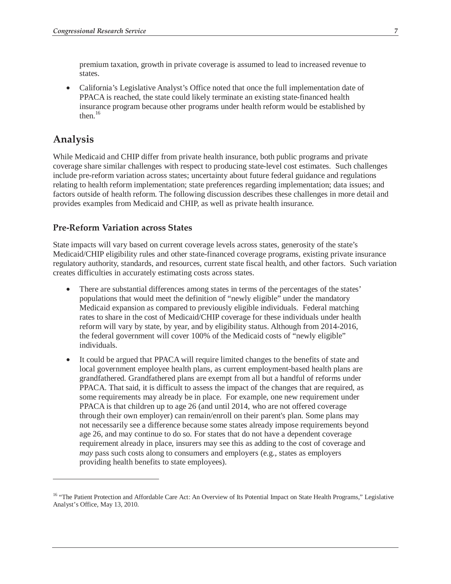premium taxation, growth in private coverage is assumed to lead to increased revenue to states.

• California's Legislative Analyst's Office noted that once the full implementation date of PPACA is reached, the state could likely terminate an existing state-financed health insurance program because other programs under health reform would be established by then $16$ 

# **Analysis**

-

While Medicaid and CHIP differ from private health insurance, both public programs and private coverage share similar challenges with respect to producing state-level cost estimates. Such challenges include pre-reform variation across states; uncertainty about future federal guidance and regulations relating to health reform implementation; state preferences regarding implementation; data issues; and factors outside of health reform. The following discussion describes these challenges in more detail and provides examples from Medicaid and CHIP, as well as private health insurance.

## **Pre-Reform Variation across States**

State impacts will vary based on current coverage levels across states, generosity of the state's Medicaid/CHIP eligibility rules and other state-financed coverage programs, existing private insurance regulatory authority, standards, and resources, current state fiscal health, and other factors. Such variation creates difficulties in accurately estimating costs across states.

- There are substantial differences among states in terms of the percentages of the states' populations that would meet the definition of "newly eligible" under the mandatory Medicaid expansion as compared to previously eligible individuals. Federal matching rates to share in the cost of Medicaid/CHIP coverage for these individuals under health reform will vary by state, by year, and by eligibility status. Although from 2014-2016, the federal government will cover 100% of the Medicaid costs of "newly eligible" individuals.
- It could be argued that PPACA will require limited changes to the benefits of state and local government employee health plans, as current employment-based health plans are grandfathered. Grandfathered plans are exempt from all but a handful of reforms under PPACA. That said, it is difficult to assess the impact of the changes that are required, as some requirements may already be in place. For example, one new requirement under PPACA is that children up to age 26 (and until 2014, who are not offered coverage through their own employer) can remain/enroll on their parent's plan. Some plans may not necessarily see a difference because some states already impose requirements beyond age 26, and may continue to do so. For states that do not have a dependent coverage requirement already in place, insurers may see this as adding to the cost of coverage and *may* pass such costs along to consumers and employers (e.g., states as employers providing health benefits to state employees).

<sup>&</sup>lt;sup>16</sup> "The Patient Protection and Affordable Care Act: An Overview of Its Potential Impact on State Health Programs," Legislative Analyst's Office, May 13, 2010.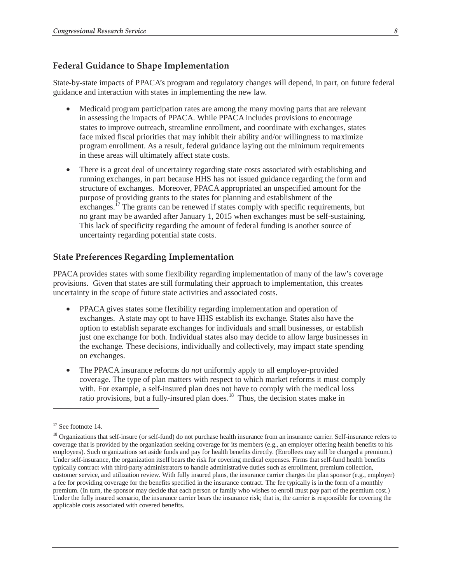#### **Federal Guidance to Shape Implementation**

State-by-state impacts of PPACA's program and regulatory changes will depend, in part, on future federal guidance and interaction with states in implementing the new law.

- Medicaid program participation rates are among the many moving parts that are relevant in assessing the impacts of PPACA. While PPACA includes provisions to encourage states to improve outreach, streamline enrollment, and coordinate with exchanges, states face mixed fiscal priorities that may inhibit their ability and/or willingness to maximize program enrollment. As a result, federal guidance laying out the minimum requirements in these areas will ultimately affect state costs.
- There is a great deal of uncertainty regarding state costs associated with establishing and running exchanges, in part because HHS has not issued guidance regarding the form and structure of exchanges. Moreover, PPACA appropriated an unspecified amount for the purpose of providing grants to the states for planning and establishment of the exchanges.<sup> $17$ </sup> The grants can be renewed if states comply with specific requirements, but no grant may be awarded after January 1, 2015 when exchanges must be self-sustaining. This lack of specificity regarding the amount of federal funding is another source of uncertainty regarding potential state costs.

## **State Preferences Regarding Implementation**

PPACA provides states with some flexibility regarding implementation of many of the law's coverage provisions. Given that states are still formulating their approach to implementation, this creates uncertainty in the scope of future state activities and associated costs.

- PPACA gives states some flexibility regarding implementation and operation of exchanges. A state may opt to have HHS establish its exchange. States also have the option to establish separate exchanges for individuals and small businesses, or establish just one exchange for both. Individual states also may decide to allow large businesses in the exchange. These decisions, individually and collectively, may impact state spending on exchanges.
- The PPACA insurance reforms do *not* uniformly apply to all employer-provided coverage. The type of plan matters with respect to which market reforms it must comply with. For example, a self-insured plan does not have to comply with the medical loss ratio provisions, but a fully-insured plan does.<sup>18</sup> Thus, the decision states make in

-

<sup>&</sup>lt;sup>17</sup> See footnote 14.

<sup>&</sup>lt;sup>18</sup> Organizations that self-insure (or self-fund) do not purchase health insurance from an insurance carrier. Self-insurance refers to coverage that is provided by the organization seeking coverage for its members (e.g., an employer offering health benefits to his employees). Such organizations set aside funds and pay for health benefits directly. (Enrollees may still be charged a premium.) Under self-insurance, the organization itself bears the risk for covering medical expenses. Firms that self-fund health benefits typically contract with third-party administrators to handle administrative duties such as enrollment, premium collection, customer service, and utilization review. With fully insured plans, the insurance carrier charges the plan sponsor (e.g., employer) a fee for providing coverage for the benefits specified in the insurance contract. The fee typically is in the form of a monthly premium. (In turn, the sponsor may decide that each person or family who wishes to enroll must pay part of the premium cost.) Under the fully insured scenario, the insurance carrier bears the insurance risk; that is, the carrier is responsible for covering the applicable costs associated with covered benefits.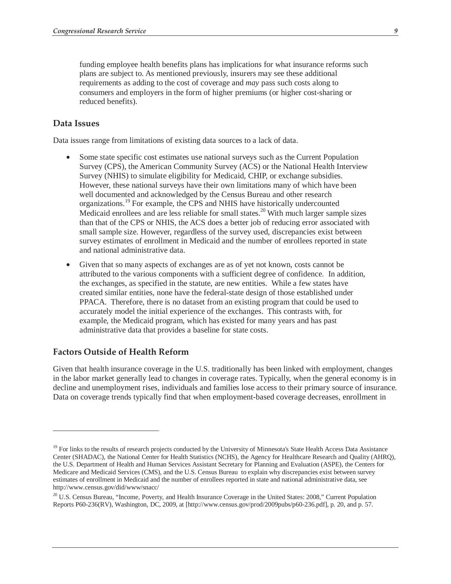funding employee health benefits plans has implications for what insurance reforms such plans are subject to. As mentioned previously, insurers may see these additional requirements as adding to the cost of coverage and *may* pass such costs along to consumers and employers in the form of higher premiums (or higher cost-sharing or reduced benefits).

#### **Data Issues**

Data issues range from limitations of existing data sources to a lack of data.

- Some state specific cost estimates use national surveys such as the Current Population Survey (CPS), the American Community Survey (ACS) or the National Health Interview Survey (NHIS) to simulate eligibility for Medicaid, CHIP, or exchange subsidies. However, these national surveys have their own limitations many of which have been well documented and acknowledged by the Census Bureau and other research organizations.19 For example, the CPS and NHIS have historically undercounted Medicaid enrollees and are less reliable for small states.<sup>20</sup> With much larger sample sizes than that of the CPS or NHIS, the ACS does a better job of reducing error associated with small sample size. However, regardless of the survey used, discrepancies exist between survey estimates of enrollment in Medicaid and the number of enrollees reported in state and national administrative data.
- Given that so many aspects of exchanges are as of yet not known, costs cannot be attributed to the various components with a sufficient degree of confidence. In addition, the exchanges, as specified in the statute, are new entities. While a few states have created similar entities, none have the federal-state design of those established under PPACA. Therefore, there is no dataset from an existing program that could be used to accurately model the initial experience of the exchanges. This contrasts with, for example, the Medicaid program, which has existed for many years and has past administrative data that provides a baseline for state costs.

#### **Factors Outside of Health Reform**

-

Given that health insurance coverage in the U.S. traditionally has been linked with employment, changes in the labor market generally lead to changes in coverage rates. Typically, when the general economy is in decline and unemployment rises, individuals and families lose access to their primary source of insurance. Data on coverage trends typically find that when employment-based coverage decreases, enrollment in

<sup>&</sup>lt;sup>19</sup> For links to the results of research projects conducted by the University of Minnesota's State Health Access Data Assistance Center (SHADAC), the National Center for Health Statistics (NCHS), the Agency for Healthcare Research and Quality (AHRQ), the U.S. Department of Health and Human Services Assistant Secretary for Planning and Evaluation (ASPE), the Centers for Medicare and Medicaid Services (CMS), and the U.S. Census Bureau to explain why discrepancies exist between survey estimates of enrollment in Medicaid and the number of enrollees reported in state and national administrative data, see http://www.census.gov/did/www/snacc/

<sup>&</sup>lt;sup>20</sup> U.S. Census Bureau, "Income, Poverty, and Health Insurance Coverage in the United States: 2008," Current Population Reports P60-236(RV), Washington, DC, 2009, at [http://www.census.gov/prod/2009pubs/p60-236.pdf], p. 20, and p. 57.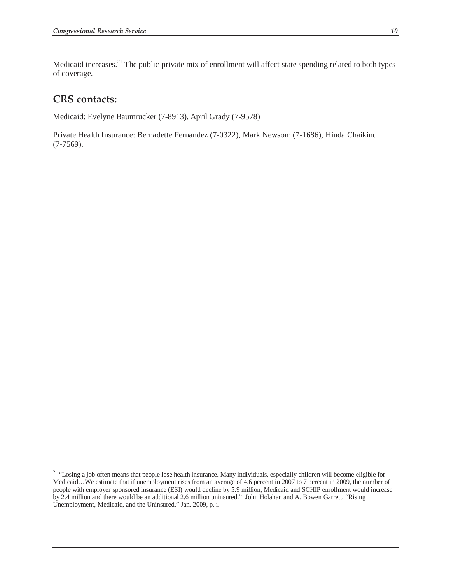Medicaid increases.<sup>21</sup> The public-private mix of enrollment will affect state spending related to both types of coverage.

# **CRS contacts:**

-

Medicaid: Evelyne Baumrucker (7-8913), April Grady (7-9578)

Private Health Insurance: Bernadette Fernandez (7-0322), Mark Newsom (7-1686), Hinda Chaikind (7-7569).

<sup>&</sup>lt;sup>21</sup> "Losing a job often means that people lose health insurance. Many individuals, especially children will become eligible for Medicaid...We estimate that if unemployment rises from an average of 4.6 percent in 2007 to 7 percent in 2009, the number of people with employer sponsored insurance (ESI) would decline by 5.9 million, Medicaid and SCHIP enrollment would increase by 2.4 million and there would be an additional 2.6 million uninsured." John Holahan and A. Bowen Garrett, "Rising Unemployment, Medicaid, and the Uninsured," Jan. 2009, p. i.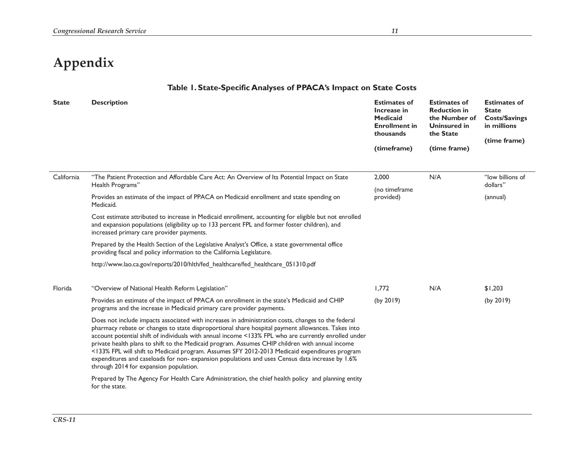# **Appendix**

## **Table 1. State-Specific Analyses of PPACA's Impact on State Costs**

| <b>State</b> | <b>Description</b>                                                                                                                                                                                                                                                                                                                                                                                                                                                                                                                                                                                                                                              | <b>Estimates of</b><br>Increase in<br>Medicaid<br><b>Enrollment in</b><br>thousands<br>(timeframe) | <b>Estimates of</b><br><b>Reduction in</b><br>the Number of<br><b>Uninsured in</b><br>the State<br>(time frame) | <b>Estimates of</b><br><b>State</b><br><b>Costs/Savings</b><br>in millions<br>(time frame) |
|--------------|-----------------------------------------------------------------------------------------------------------------------------------------------------------------------------------------------------------------------------------------------------------------------------------------------------------------------------------------------------------------------------------------------------------------------------------------------------------------------------------------------------------------------------------------------------------------------------------------------------------------------------------------------------------------|----------------------------------------------------------------------------------------------------|-----------------------------------------------------------------------------------------------------------------|--------------------------------------------------------------------------------------------|
| California   | "The Patient Protection and Affordable Care Act: An Overview of Its Potential Impact on State<br>Health Programs"<br>Provides an estimate of the impact of PPACA on Medicaid enrollment and state spending on<br>Medicaid.                                                                                                                                                                                                                                                                                                                                                                                                                                      | 2,000<br>(no timeframe<br>provided)                                                                | N/A                                                                                                             | "low billions of<br>dollars"<br>(annual)                                                   |
|              | Cost estimate attributed to increase in Medicaid enrollment, accounting for eligible but not enrolled<br>and expansion populations (eligibility up to 133 percent FPL and former foster children), and<br>increased primary care provider payments.                                                                                                                                                                                                                                                                                                                                                                                                             |                                                                                                    |                                                                                                                 |                                                                                            |
|              | Prepared by the Health Section of the Legislative Analyst's Office, a state governmental office<br>providing fiscal and policy information to the California Legislature.                                                                                                                                                                                                                                                                                                                                                                                                                                                                                       |                                                                                                    |                                                                                                                 |                                                                                            |
|              | http://www.lao.ca.gov/reports/2010/hlth/fed_healthcare/fed_healthcare_051310.pdf                                                                                                                                                                                                                                                                                                                                                                                                                                                                                                                                                                                |                                                                                                    |                                                                                                                 |                                                                                            |
| Florida      | "Overview of National Health Reform Legislation"                                                                                                                                                                                                                                                                                                                                                                                                                                                                                                                                                                                                                | 1.772                                                                                              | N/A                                                                                                             | \$1,203                                                                                    |
|              | Provides an estimate of the impact of PPACA on enrollment in the state's Medicaid and CHIP<br>programs and the increase in Medicaid primary care provider payments.                                                                                                                                                                                                                                                                                                                                                                                                                                                                                             | (by 2019)                                                                                          |                                                                                                                 | (by 2019)                                                                                  |
|              | Does not include impacts associated with increases in administration costs, changes to the federal<br>pharmacy rebate or changes to state disproportional share hospital payment allowances. Takes into<br>account potential shift of individuals with annual income <133% FPL who are currently enrolled under<br>private health plans to shift to the Medicaid program. Assumes CHIP children with annual income<br><133% FPL will shift to Medicaid program. Assumes SFY 2012-2013 Medicaid expenditures program<br>expenditures and caseloads for non-expansion populations and uses Census data increase by 1.6%<br>through 2014 for expansion population. |                                                                                                    |                                                                                                                 |                                                                                            |
|              | Prepared by The Agency For Health Care Administration, the chief health policy and planning entity<br>for the state.                                                                                                                                                                                                                                                                                                                                                                                                                                                                                                                                            |                                                                                                    |                                                                                                                 |                                                                                            |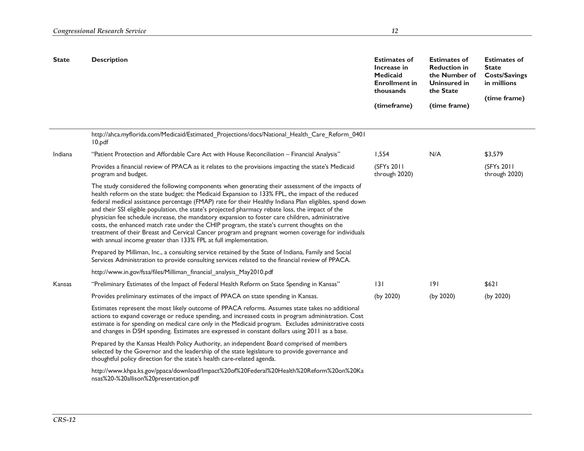| <b>State</b> | <b>Description</b>                                                                                                                                                                                                                                                                                                                                                                                                                                                                                                                                                                                                                                                                                                                                                                            | <b>Estimates of</b><br>Increase in<br><b>Medicaid</b><br><b>Enrollment in</b><br>thousands | <b>Estimates of</b><br><b>Reduction in</b><br>the Number of<br><b>Uninsured in</b><br>the State | <b>Estimates of</b><br><b>State</b><br><b>Costs/Savings</b><br>in millions<br>(time frame) |
|--------------|-----------------------------------------------------------------------------------------------------------------------------------------------------------------------------------------------------------------------------------------------------------------------------------------------------------------------------------------------------------------------------------------------------------------------------------------------------------------------------------------------------------------------------------------------------------------------------------------------------------------------------------------------------------------------------------------------------------------------------------------------------------------------------------------------|--------------------------------------------------------------------------------------------|-------------------------------------------------------------------------------------------------|--------------------------------------------------------------------------------------------|
|              |                                                                                                                                                                                                                                                                                                                                                                                                                                                                                                                                                                                                                                                                                                                                                                                               | (timeframe)                                                                                | (time frame)                                                                                    |                                                                                            |
|              | http://ahca.myflorida.com/Medicaid/Estimated_Projections/docs/National_Health_Care_Reform_0401<br>10.pdf                                                                                                                                                                                                                                                                                                                                                                                                                                                                                                                                                                                                                                                                                      |                                                                                            |                                                                                                 |                                                                                            |
| Indiana      | "Patient Protection and Affordable Care Act with House Reconciliation - Financial Analysis"                                                                                                                                                                                                                                                                                                                                                                                                                                                                                                                                                                                                                                                                                                   | 1,554                                                                                      | N/A                                                                                             | \$3,579                                                                                    |
|              | Provides a financial review of PPACA as it relates to the provisions impacting the state's Medicaid<br>program and budget.                                                                                                                                                                                                                                                                                                                                                                                                                                                                                                                                                                                                                                                                    | (SFY <sub>s</sub> 2011)<br>through 2020)                                                   |                                                                                                 | (SFYs 2011<br>through 2020)                                                                |
|              | The study considered the following components when generating their assessment of the impacts of<br>health reform on the state budget: the Medicaid Expansion to 133% FPL, the impact of the reduced<br>federal medical assistance percentage (FMAP) rate for their Healthy Indiana Plan eligibles, spend down<br>and their SSI eligible population, the state's projected pharmacy rebate loss, the impact of the<br>physician fee schedule increase, the mandatory expansion to foster care children, administrative<br>costs, the enhanced match rate under the CHIP program, the state's current thoughts on the<br>treatment of their Breast and Cervical Cancer program and pregnant women coverage for individuals<br>with annual income greater than 133% FPL at full implementation. |                                                                                            |                                                                                                 |                                                                                            |
|              | Prepared by Milliman, Inc., a consulting service retained by the State of Indiana, Family and Social<br>Services Administration to provide consulting services related to the financial review of PPACA.                                                                                                                                                                                                                                                                                                                                                                                                                                                                                                                                                                                      |                                                                                            |                                                                                                 |                                                                                            |
|              | http://www.in.gov/fssa/files/Milliman_financial_analysis_May2010.pdf                                                                                                                                                                                                                                                                                                                                                                                                                                                                                                                                                                                                                                                                                                                          |                                                                                            |                                                                                                 |                                                                                            |
| Kansas       | "Preliminary Estimates of the Impact of Federal Health Reform on State Spending in Kansas"                                                                                                                                                                                                                                                                                                                                                                                                                                                                                                                                                                                                                                                                                                    | 3                                                                                          | 9                                                                                               | \$621                                                                                      |
|              | Provides preliminary estimates of the impact of PPACA on state spending in Kansas.                                                                                                                                                                                                                                                                                                                                                                                                                                                                                                                                                                                                                                                                                                            | (by 2020)                                                                                  | (by 2020)                                                                                       | (by 2020)                                                                                  |
|              | Estimates represent the most likely outcome of PPACA reforms. Assumes state takes no additional<br>actions to expand coverage or reduce spending, and increased costs in program administration. Cost<br>estimate is for spending on medical care only in the Medicaid program. Excludes administrative costs<br>and changes in DSH spending. Estimates are expressed in constant dollars using 2011 as a base.                                                                                                                                                                                                                                                                                                                                                                               |                                                                                            |                                                                                                 |                                                                                            |
|              | Prepared by the Kansas Health Policy Authority, an independent Board comprised of members<br>selected by the Governor and the leadership of the state legislature to provide governance and<br>thoughtful policy direction for the state's health care-related agenda.                                                                                                                                                                                                                                                                                                                                                                                                                                                                                                                        |                                                                                            |                                                                                                 |                                                                                            |
|              | http://www.khpa.ks.gov/ppaca/download/Impact%20of%20Federal%20Health%20Reform%20on%20Ka<br>nsas%20-%20allison%20presentation.pdf                                                                                                                                                                                                                                                                                                                                                                                                                                                                                                                                                                                                                                                              |                                                                                            |                                                                                                 |                                                                                            |
|              |                                                                                                                                                                                                                                                                                                                                                                                                                                                                                                                                                                                                                                                                                                                                                                                               |                                                                                            |                                                                                                 |                                                                                            |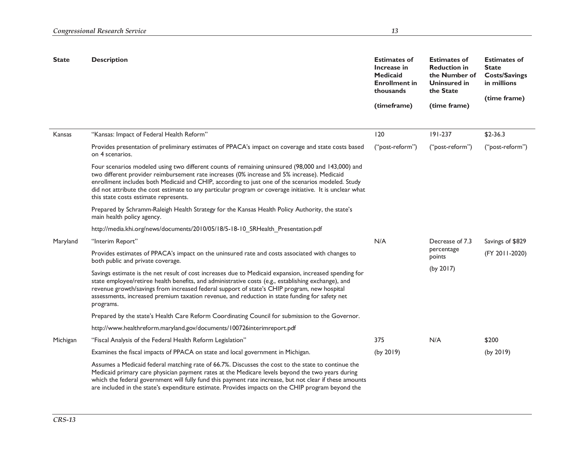| <b>State</b> | <b>Description</b>                                                                                                                                                                                                                                                                                                                                                                                                                                         |                 | <b>Estimates of</b><br><b>Reduction in</b><br>the Number of<br>Uninsured in<br>the State | <b>Estimates of</b><br><b>State</b><br><b>Costs/Savings</b><br>in millions |
|--------------|------------------------------------------------------------------------------------------------------------------------------------------------------------------------------------------------------------------------------------------------------------------------------------------------------------------------------------------------------------------------------------------------------------------------------------------------------------|-----------------|------------------------------------------------------------------------------------------|----------------------------------------------------------------------------|
|              |                                                                                                                                                                                                                                                                                                                                                                                                                                                            | (timeframe)     | (time frame)                                                                             | (time frame)                                                               |
|              |                                                                                                                                                                                                                                                                                                                                                                                                                                                            |                 |                                                                                          |                                                                            |
| Kansas       | "Kansas: Impact of Federal Health Reform"                                                                                                                                                                                                                                                                                                                                                                                                                  | 120             | $191 - 237$                                                                              | $$2-36.3$                                                                  |
|              | Provides presentation of preliminary estimates of PPACA's impact on coverage and state costs based<br>on 4 scenarios.                                                                                                                                                                                                                                                                                                                                      | ("post-reform") | ("post-reform")                                                                          | ("post-reform")                                                            |
|              | Four scenarios modeled using two different counts of remaining uninsured (98,000 and 143,000) and<br>two different provider reimbursement rate increases (0% increase and 5% increase). Medicaid<br>enrollment includes both Medicaid and CHIP, according to just one of the scenarios modeled. Study<br>did not attribute the cost estimate to any particular program or coverage initiative. It is unclear what<br>this state costs estimate represents. |                 |                                                                                          |                                                                            |
|              | Prepared by Schramm-Raleigh Health Strategy for the Kansas Health Policy Authority, the state's<br>main health policy agency.                                                                                                                                                                                                                                                                                                                              |                 |                                                                                          |                                                                            |
|              | http://media.khi.org/news/documents/2010/05/18/5-18-10_SRHealth_Presentation.pdf                                                                                                                                                                                                                                                                                                                                                                           |                 |                                                                                          |                                                                            |
| Maryland     | "Interim Report"                                                                                                                                                                                                                                                                                                                                                                                                                                           | N/A             | Decrease of 7.3                                                                          | Savings of \$829                                                           |
|              | Provides estimates of PPACA's impact on the uninsured rate and costs associated with changes to<br>both public and private coverage.                                                                                                                                                                                                                                                                                                                       |                 | percentage<br>points                                                                     | (FY 2011-2020)                                                             |
|              | Savings estimate is the net result of cost increases due to Medicaid expansion, increased spending for<br>state employee/retiree health benefits, and administrative costs (e.g., establishing exchange), and<br>revenue growth/savings from increased federal support of state's CHIP program, new hospital<br>assessments, increased premium taxation revenue, and reduction in state funding for safety net<br>programs.                                |                 | (by 2017)                                                                                |                                                                            |
|              | Prepared by the state's Health Care Reform Coordinating Council for submission to the Governor.                                                                                                                                                                                                                                                                                                                                                            |                 |                                                                                          |                                                                            |
|              | http://www.healthreform.maryland.gov/documents/100726interimreport.pdf                                                                                                                                                                                                                                                                                                                                                                                     |                 |                                                                                          |                                                                            |
| Michigan     | "Fiscal Analysis of the Federal Health Reform Legislation"                                                                                                                                                                                                                                                                                                                                                                                                 | 375             | N/A                                                                                      | \$200                                                                      |
|              | Examines the fiscal impacts of PPACA on state and local government in Michigan.                                                                                                                                                                                                                                                                                                                                                                            | (by 2019)       |                                                                                          | (by 2019)                                                                  |
|              | Assumes a Medicaid federal matching rate of 66.7%. Discusses the cost to the state to continue the<br>Medicaid primary care physician payment rates at the Medicare levels beyond the two years during<br>which the federal government will fully fund this payment rate increase, but not clear if these amounts<br>are included in the state's expenditure estimate. Provides impacts on the CHIP program beyond the                                     |                 |                                                                                          |                                                                            |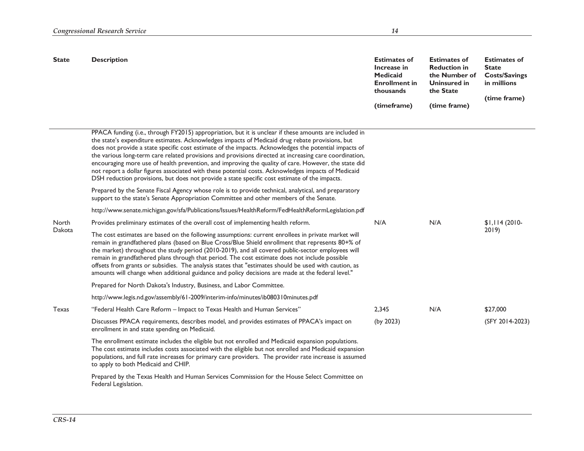| <b>State</b> | <b>Description</b>                                                                                                                                                                                                                                                                                                                                                                                                                                                                                                                                                                                                                                                                                                                           | <b>Estimates of</b><br>Increase in<br><b>Medicaid</b><br><b>Enrollment in</b><br>thousands | <b>Estimates of</b><br><b>Reduction in</b><br>the Number of<br><b>Uninsured in</b><br>the State | <b>Estimates of</b><br><b>State</b><br><b>Costs/Savings</b><br>in millions<br>(time frame) |
|--------------|----------------------------------------------------------------------------------------------------------------------------------------------------------------------------------------------------------------------------------------------------------------------------------------------------------------------------------------------------------------------------------------------------------------------------------------------------------------------------------------------------------------------------------------------------------------------------------------------------------------------------------------------------------------------------------------------------------------------------------------------|--------------------------------------------------------------------------------------------|-------------------------------------------------------------------------------------------------|--------------------------------------------------------------------------------------------|
|              |                                                                                                                                                                                                                                                                                                                                                                                                                                                                                                                                                                                                                                                                                                                                              | (timeframe)                                                                                | (time frame)                                                                                    |                                                                                            |
|              | PPACA funding (i.e., through FY2015) appropriation, but it is unclear if these amounts are included in<br>the state's expenditure estimates. Acknowledges impacts of Medicaid drug rebate provisions, but<br>does not provide a state specific cost estimate of the impacts. Acknowledges the potential impacts of<br>the various long-term care related provisions and provisions directed at increasing care coordination,<br>encouraging more use of health prevention, and improving the quality of care. However, the state did<br>not report a dollar figures associated with these potential costs. Acknowledges impacts of Medicaid<br>DSH reduction provisions, but does not provide a state specific cost estimate of the impacts. |                                                                                            |                                                                                                 |                                                                                            |
|              | Prepared by the Senate Fiscal Agency whose role is to provide technical, analytical, and preparatory<br>support to the state's Senate Appropriation Committee and other members of the Senate.                                                                                                                                                                                                                                                                                                                                                                                                                                                                                                                                               |                                                                                            |                                                                                                 |                                                                                            |
|              | http://www.senate.michigan.gov/sfa/Publications/Issues/HealthReform/FedHealthReformLegislation.pdf                                                                                                                                                                                                                                                                                                                                                                                                                                                                                                                                                                                                                                           |                                                                                            |                                                                                                 |                                                                                            |
| North        | Provides preliminary estimates of the overall cost of implementing health reform.                                                                                                                                                                                                                                                                                                                                                                                                                                                                                                                                                                                                                                                            | N/A                                                                                        | N/A                                                                                             | $$1,114(2010-$                                                                             |
| Dakota       | The cost estimates are based on the following assumptions: current enrollees in private market will<br>remain in grandfathered plans (based on Blue Cross/Blue Shield enrollment that represents 80+% of<br>the market) throughout the study period (2010-2019), and all covered public-sector employees will<br>remain in grandfathered plans through that period. The cost estimate does not include possible<br>offsets from grants or subsidies. The analysis states that "estimates should be used with caution, as<br>amounts will change when additional guidance and policy decisions are made at the federal level."                                                                                                                |                                                                                            |                                                                                                 | 2019                                                                                       |
|              | Prepared for North Dakota's Industry, Business, and Labor Committee.                                                                                                                                                                                                                                                                                                                                                                                                                                                                                                                                                                                                                                                                         |                                                                                            |                                                                                                 |                                                                                            |
|              | http://www.legis.nd.gov/assembly/61-2009/interim-info/minutes/ib080310minutes.pdf                                                                                                                                                                                                                                                                                                                                                                                                                                                                                                                                                                                                                                                            |                                                                                            |                                                                                                 |                                                                                            |
| Texas        | "Federal Health Care Reform - Impact to Texas Health and Human Services"                                                                                                                                                                                                                                                                                                                                                                                                                                                                                                                                                                                                                                                                     | 2,345                                                                                      | N/A                                                                                             | \$27,000                                                                                   |
|              | Discusses PPACA requirements, describes model, and provides estimates of PPACA's impact on<br>enrollment in and state spending on Medicaid.                                                                                                                                                                                                                                                                                                                                                                                                                                                                                                                                                                                                  | (by 2023)                                                                                  |                                                                                                 | (SFY 2014-2023)                                                                            |
|              | The enrollment estimate includes the eligible but not enrolled and Medicaid expansion populations.<br>The cost estimate includes costs associated with the eligible but not enrolled and Medicaid expansion<br>populations, and full rate increases for primary care providers. The provider rate increase is assumed<br>to apply to both Medicaid and CHIP.                                                                                                                                                                                                                                                                                                                                                                                 |                                                                                            |                                                                                                 |                                                                                            |
|              | Prepared by the Texas Health and Human Services Commission for the House Select Committee on<br>Federal Legislation.                                                                                                                                                                                                                                                                                                                                                                                                                                                                                                                                                                                                                         |                                                                                            |                                                                                                 |                                                                                            |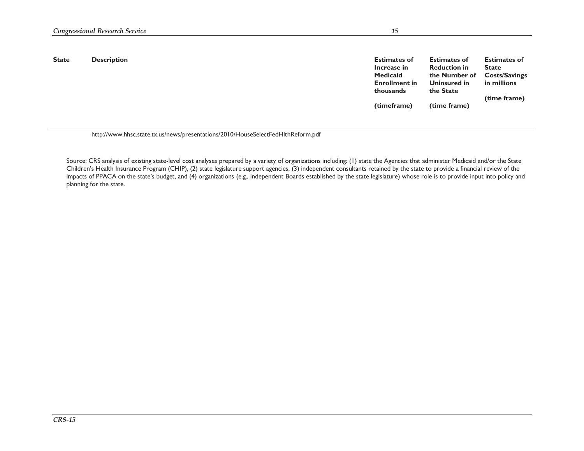| <b>State</b> | <b>Description</b> | <b>Estimates of</b><br>Increase in<br>Medicaid<br><b>Enrollment in</b><br>thousands<br>(timeframe) | <b>Estimates of</b><br><b>Reduction in</b><br>the Number of<br>Uninsured in<br>the State<br>(time frame) | <b>Estimates of</b><br><b>State</b><br><b>Costs/Savings</b><br>in millions<br>(time frame) |
|--------------|--------------------|----------------------------------------------------------------------------------------------------|----------------------------------------------------------------------------------------------------------|--------------------------------------------------------------------------------------------|
|              |                    |                                                                                                    |                                                                                                          |                                                                                            |

http://www.hhsc.state.tx.us/news/presentations/2010/HouseSelectFedHlthReform.pdf

Source: CRS analysis of existing state-level cost analyses prepared by a variety of organizations including: (1) state the Agencies that administer Medicaid and/or the State Children's Health Insurance Program (CHIP), (2) state legislature support agencies, (3) independent consultants retained by the state to provide a financial review of the impacts of PPACA on the state's budget, and (4) organizations (e.g., independent Boards established by the state legislature) whose role is to provide input into policy and planning for the state.